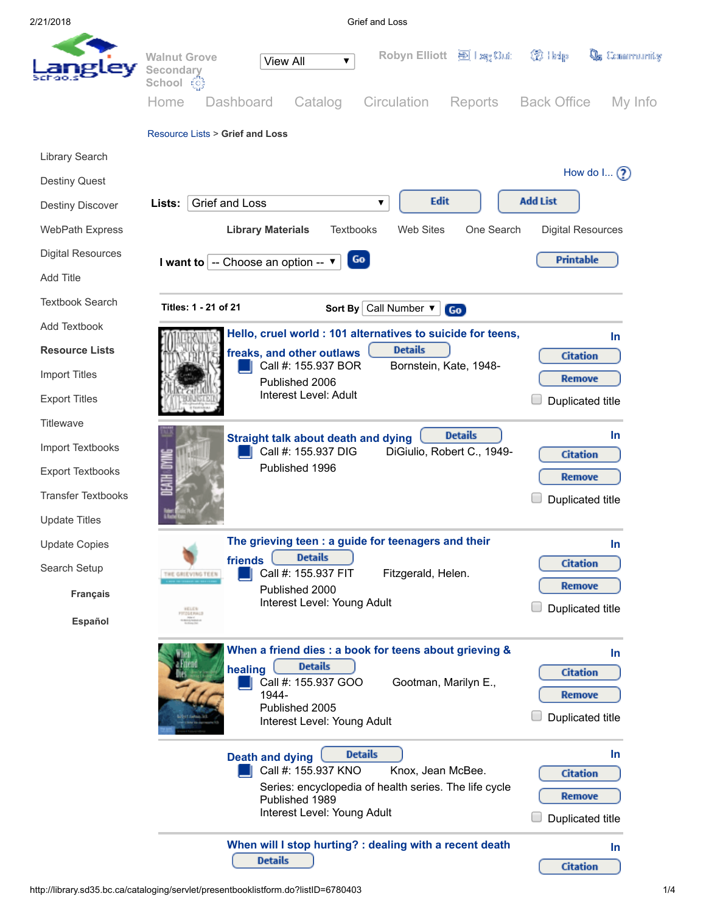2/21/2018 Grief and Loss

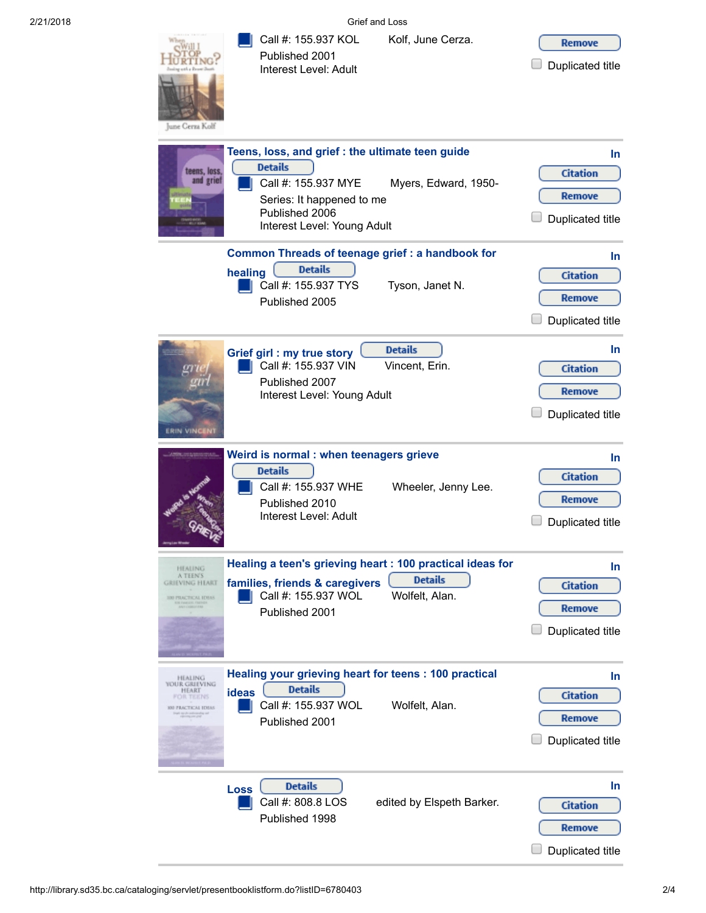2/21/2018 Grief and Loss

Remove

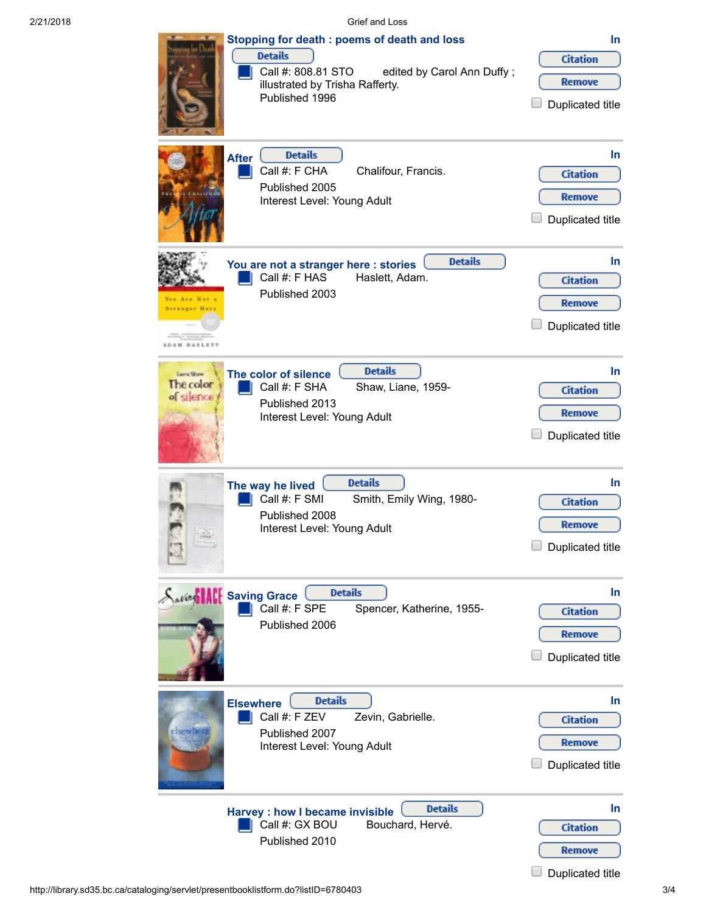2/21/2018 Grief and Loss

| Stopping for death : poems of death and loss<br><b>Details</b><br>Call #: 808.81 STO<br>edited by Carol Ann Duffy;<br>illustrated by Trisha Rafferty.<br>Published 1996 | In.<br><b>Citation</b><br><b>Remove</b><br>Duplicated title       |
|-------------------------------------------------------------------------------------------------------------------------------------------------------------------------|-------------------------------------------------------------------|
| <b>Details</b><br><b>After</b><br>Call #: F CHA<br>Chalifour, Francis.<br>Published 2005<br>Interest Level: Young Adult                                                 | <b>In</b><br><b>Citation</b><br>Remove<br>Duplicated title        |
| <b>Details</b><br>You are not a stranger here : stories<br>Call #: F HAS<br>Haslett, Adam.<br>Published 2003<br>You Are Not a<br>Stranger Har<br>ADAM HANLETT           | In.<br><b>Citation</b><br>Remove<br>Duplicated title              |
| <b>Details</b><br>The color of silence<br>Liene Shaw<br>The color<br>Call #: F SHA<br>Shaw, Liane, 1959-<br>of silence<br>Published 2013<br>Interest Level: Young Adult | <b>In</b><br><b>Citation</b><br>Remove<br>Duplicated title        |
| <b>Details</b><br>The way he lived<br>Call #: F SMI<br>Smith, Emily Wing, 1980-<br>Published 2008<br>Interest Level: Young Adult                                        | In.<br><b>Citation</b><br><b>Remove</b><br>Duplicated title       |
| <b>Details</b><br><b>Saving Hall Saving Grace</b><br>Call #: F SPE<br>Spencer, Katherine, 1955-<br>Published 2006                                                       | <b>In</b><br><b>Citation</b><br><b>Remove</b><br>Duplicated title |
| <b>Details</b><br><b>Elsewhere</b><br>Call #: F ZEV<br>Zevin, Gabrielle.<br>elsewher<br>Published 2007<br>Interest Level: Young Adult                                   | In.<br><b>Citation</b><br><b>Remove</b><br>Duplicated title       |
| <b>Details</b><br><b>Harvey: how I became invisible</b><br>Call #: GX BOU<br>Bouchard, Hervé.<br>Published 2010                                                         | In.<br><b>Citation</b><br><b>Remove</b><br>Duplicated title       |